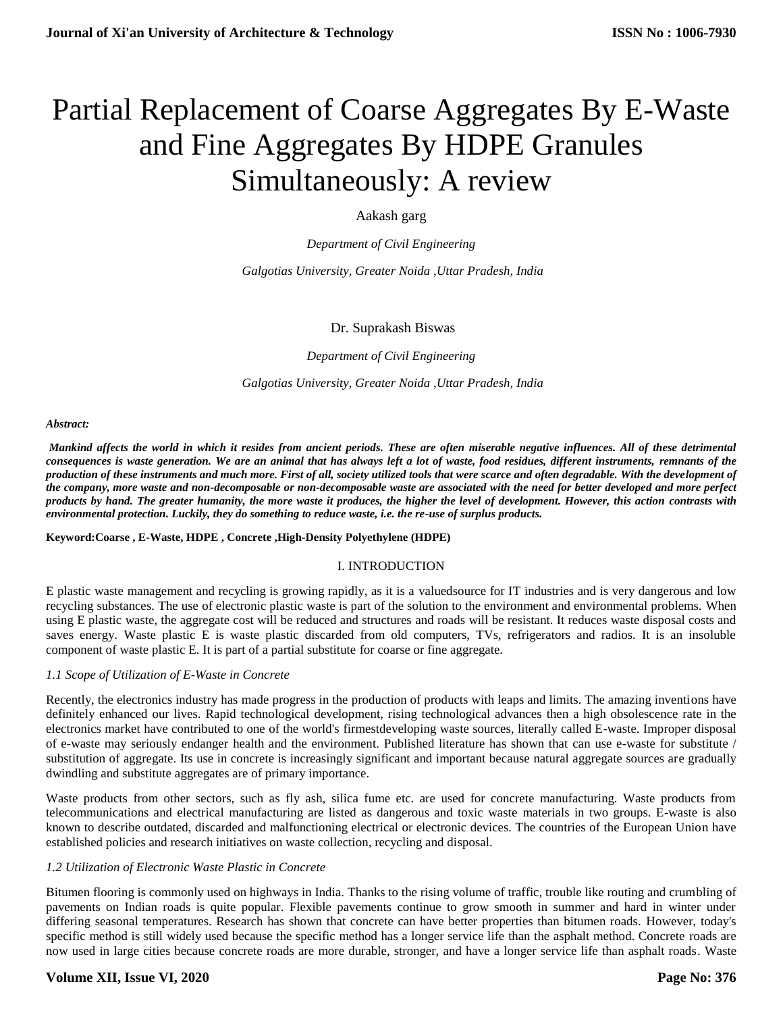# Partial Replacement of Coarse Aggregates By E-Waste and Fine Aggregates By HDPE Granules Simultaneously: A review

Aakash garg

*Department of Civil Engineering*

*Galgotias University, Greater Noida ,Uttar Pradesh, India*

## Dr. Suprakash Biswas

*Department of Civil Engineering*

*Galgotias University, Greater Noida ,Uttar Pradesh, India*

#### *Abstract:*

*Mankind affects the world in which it resides from ancient periods. These are often miserable negative influences. All of these detrimental consequences is waste generation. We are an animal that has always left a lot of waste, food residues, different instruments, remnants of the production of these instruments and much more. First of all, society utilized tools that were scarce and often degradable. With the development of the company, more waste and non-decomposable or non-decomposable waste are associated with the need for better developed and more perfect products by hand. The greater humanity, the more waste it produces, the higher the level of development. However, this action contrasts with environmental protection. Luckily, they do something to reduce waste, i.e. the re-use of surplus products.* 

#### **Keyword:Coarse , E-Waste, HDPE , Concrete ,High-Density Polyethylene (HDPE)**

## I. INTRODUCTION

E plastic waste management and recycling is growing rapidly, as it is a valuedsource for IT industries and is very dangerous and low recycling substances. The use of electronic plastic waste is part of the solution to the environment and environmental problems. When using E plastic waste, the aggregate cost will be reduced and structures and roads will be resistant. It reduces waste disposal costs and saves energy. Waste plastic E is waste plastic discarded from old computers, TVs, refrigerators and radios. It is an insoluble component of waste plastic E. It is part of a partial substitute for coarse or fine aggregate.

#### *1.1 Scope of Utilization of E-Waste in Concrete*

Recently, the electronics industry has made progress in the production of products with leaps and limits. The amazing inventions have definitely enhanced our lives. Rapid technological development, rising technological advances then a high obsolescence rate in the electronics market have contributed to one of the world's firmestdeveloping waste sources, literally called E-waste. Improper disposal of e-waste may seriously endanger health and the environment. Published literature has shown that can use e-waste for substitute / substitution of aggregate. Its use in concrete is increasingly significant and important because natural aggregate sources are gradually dwindling and substitute aggregates are of primary importance.

Waste products from other sectors, such as fly ash, silica fume etc. are used for concrete manufacturing. Waste products from telecommunications and electrical manufacturing are listed as dangerous and toxic waste materials in two groups. E-waste is also known to describe outdated, discarded and malfunctioning electrical or electronic devices. The countries of the European Union have established policies and research initiatives on waste collection, recycling and disposal.

#### *1.2 Utilization of Electronic Waste Plastic in Concrete*

Bitumen flooring is commonly used on highways in India. Thanks to the rising volume of traffic, trouble like routing and crumbling of pavements on Indian roads is quite popular. Flexible pavements continue to grow smooth in summer and hard in winter under differing seasonal temperatures. Research has shown that concrete can have better properties than bitumen roads. However, today's specific method is still widely used because the specific method has a longer service life than the asphalt method. Concrete roads are now used in large cities because concrete roads are more durable, stronger, and have a longer service life than asphalt roads. Waste

## **Volume XII, Issue VI, 2020**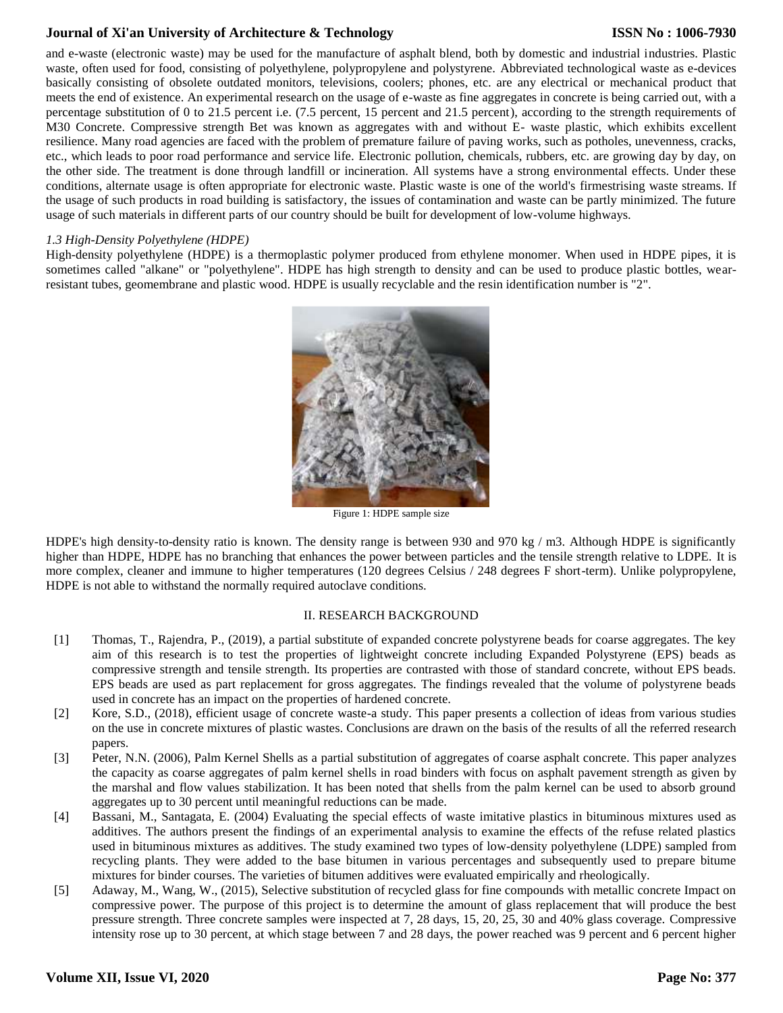# **Journal of Xi'an University of Architecture & Technology**

## **ISSN No : 1006-7930**

and e-waste (electronic waste) may be used for the manufacture of asphalt blend, both by domestic and industrial industries. Plastic waste, often used for food, consisting of polyethylene, polypropylene and polystyrene. Abbreviated technological waste as e-devices basically consisting of obsolete outdated monitors, televisions, coolers; phones, etc. are any electrical or mechanical product that meets the end of existence. An experimental research on the usage of e-waste as fine aggregates in concrete is being carried out, with a percentage substitution of 0 to 21.5 percent i.e. (7.5 percent, 15 percent and 21.5 percent), according to the strength requirements of M30 Concrete. Compressive strength Bet was known as aggregates with and without E- waste plastic, which exhibits excellent resilience. Many road agencies are faced with the problem of premature failure of paving works, such as potholes, unevenness, cracks, etc., which leads to poor road performance and service life. Electronic pollution, chemicals, rubbers, etc. are growing day by day, on the other side. The treatment is done through landfill or incineration. All systems have a strong environmental effects. Under these conditions, alternate usage is often appropriate for electronic waste. Plastic waste is one of the world's firmestrising waste streams. If the usage of such products in road building is satisfactory, the issues of contamination and waste can be partly minimized. The future usage of such materials in different parts of our country should be built for development of low-volume highways.

#### *1.3 High-Density Polyethylene (HDPE)*

High-density polyethylene (HDPE) is a thermoplastic polymer produced from ethylene monomer. When used in HDPE pipes, it is sometimes called "alkane" or "polyethylene". HDPE has high strength to density and can be used to produce plastic bottles, wearresistant tubes, geomembrane and plastic wood. HDPE is usually recyclable and the resin identification number is "2".



Figure 1: HDPE sample size

HDPE's high density-to-density ratio is known. The density range is between 930 and 970 kg / m3. Although HDPE is significantly higher than HDPE, HDPE has no branching that enhances the power between particles and the tensile strength relative to LDPE. It is more complex, cleaner and immune to higher temperatures (120 degrees Celsius / 248 degrees F short-term). Unlike polypropylene, HDPE is not able to withstand the normally required autoclave conditions.

#### II. RESEARCH BACKGROUND

- [1] Thomas, T., Rajendra, P., (2019), a partial substitute of expanded concrete polystyrene beads for coarse aggregates. The key aim of this research is to test the properties of lightweight concrete including Expanded Polystyrene (EPS) beads as compressive strength and tensile strength. Its properties are contrasted with those of standard concrete, without EPS beads. EPS beads are used as part replacement for gross aggregates. The findings revealed that the volume of polystyrene beads used in concrete has an impact on the properties of hardened concrete.
- [2] Kore, S.D., (2018), efficient usage of concrete waste-a study. This paper presents a collection of ideas from various studies on the use in concrete mixtures of plastic wastes. Conclusions are drawn on the basis of the results of all the referred research papers.
- [3] Peter, N.N. (2006), Palm Kernel Shells as a partial substitution of aggregates of coarse asphalt concrete. This paper analyzes the capacity as coarse aggregates of palm kernel shells in road binders with focus on asphalt pavement strength as given by the marshal and flow values stabilization. It has been noted that shells from the palm kernel can be used to absorb ground aggregates up to 30 percent until meaningful reductions can be made.
- [4] Bassani, M., Santagata, E. (2004) Evaluating the special effects of waste imitative plastics in bituminous mixtures used as additives. The authors present the findings of an experimental analysis to examine the effects of the refuse related plastics used in bituminous mixtures as additives. The study examined two types of low-density polyethylene (LDPE) sampled from recycling plants. They were added to the base bitumen in various percentages and subsequently used to prepare bitume mixtures for binder courses. The varieties of bitumen additives were evaluated empirically and rheologically.
- [5] Adaway, M., Wang, W., (2015), Selective substitution of recycled glass for fine compounds with metallic concrete Impact on compressive power. The purpose of this project is to determine the amount of glass replacement that will produce the best pressure strength. Three concrete samples were inspected at 7, 28 days, 15, 20, 25, 30 and 40% glass coverage. Compressive intensity rose up to 30 percent, at which stage between 7 and 28 days, the power reached was 9 percent and 6 percent higher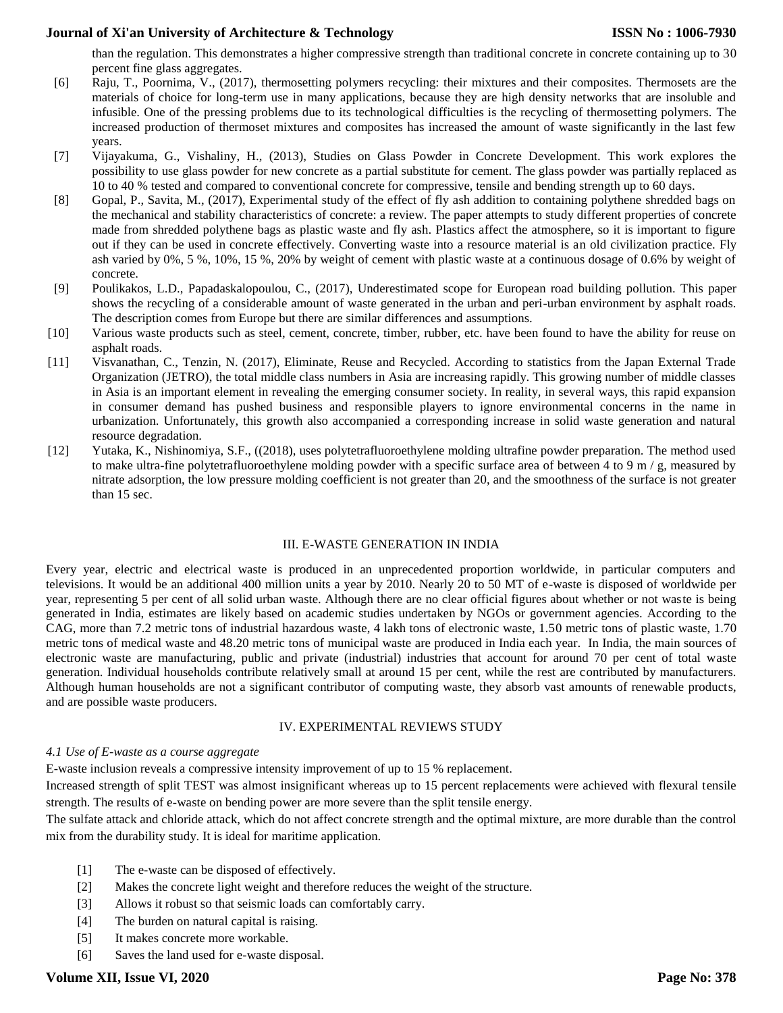# **Journal of Xi'an University of Architecture & Technology**

than the regulation. This demonstrates a higher compressive strength than traditional concrete in concrete containing up to 30 percent fine glass aggregates.

- [6] Raju, T., Poornima, V., (2017), thermosetting polymers recycling: their mixtures and their composites. Thermosets are the materials of choice for long-term use in many applications, because they are high density networks that are insoluble and infusible. One of the pressing problems due to its technological difficulties is the recycling of thermosetting polymers. The increased production of thermoset mixtures and composites has increased the amount of waste significantly in the last few years.
- [7] Vijayakuma, G., Vishaliny, H., (2013), Studies on Glass Powder in Concrete Development. This work explores the possibility to use glass powder for new concrete as a partial substitute for cement. The glass powder was partially replaced as 10 to 40 % tested and compared to conventional concrete for compressive, tensile and bending strength up to 60 days.
- [8] Gopal, P., Savita, M., (2017), Experimental study of the effect of fly ash addition to containing polythene shredded bags on the mechanical and stability characteristics of concrete: a review. The paper attempts to study different properties of concrete made from shredded polythene bags as plastic waste and fly ash. Plastics affect the atmosphere, so it is important to figure out if they can be used in concrete effectively. Converting waste into a resource material is an old civilization practice. Fly ash varied by 0%, 5 %, 10%, 15 %, 20% by weight of cement with plastic waste at a continuous dosage of 0.6% by weight of concrete.
- [9] Poulikakos, L.D., Papadaskalopoulou, C., (2017), Underestimated scope for European road building pollution. This paper shows the recycling of a considerable amount of waste generated in the urban and peri-urban environment by asphalt roads. The description comes from Europe but there are similar differences and assumptions.
- [10] Various waste products such as steel, cement, concrete, timber, rubber, etc. have been found to have the ability for reuse on asphalt roads.
- [11] Visvanathan, C., Tenzin, N. (2017), Eliminate, Reuse and Recycled. According to statistics from the Japan External Trade Organization (JETRO), the total middle class numbers in Asia are increasing rapidly. This growing number of middle classes in Asia is an important element in revealing the emerging consumer society. In reality, in several ways, this rapid expansion in consumer demand has pushed business and responsible players to ignore environmental concerns in the name in urbanization. Unfortunately, this growth also accompanied a corresponding increase in solid waste generation and natural resource degradation.
- [12] Yutaka, K., Nishinomiya, S.F., ((2018), uses polytetrafluoroethylene molding ultrafine powder preparation. The method used to make ultra-fine polytetrafluoroethylene molding powder with a specific surface area of between 4 to 9 m  $/$  g, measured by nitrate adsorption, the low pressure molding coefficient is not greater than 20, and the smoothness of the surface is not greater than 15 sec.

#### III. E-WASTE GENERATION IN INDIA

Every year, electric and electrical waste is produced in an unprecedented proportion worldwide, in particular computers and televisions. It would be an additional 400 million units a year by 2010. Nearly 20 to 50 MT of e-waste is disposed of worldwide per year, representing 5 per cent of all solid urban waste. Although there are no clear official figures about whether or not waste is being generated in India, estimates are likely based on academic studies undertaken by NGOs or government agencies. According to the CAG, more than 7.2 metric tons of industrial hazardous waste, 4 lakh tons of electronic waste, 1.50 metric tons of plastic waste, 1.70 metric tons of medical waste and 48.20 metric tons of municipal waste are produced in India each year. In India, the main sources of electronic waste are manufacturing, public and private (industrial) industries that account for around 70 per cent of total waste generation. Individual households contribute relatively small at around 15 per cent, while the rest are contributed by manufacturers. Although human households are not a significant contributor of computing waste, they absorb vast amounts of renewable products, and are possible waste producers.

#### IV. EXPERIMENTAL REVIEWS STUDY

#### *4.1 Use of E-waste as a course aggregate*

E-waste inclusion reveals a compressive intensity improvement of up to 15 % replacement.

Increased strength of split TEST was almost insignificant whereas up to 15 percent replacements were achieved with flexural tensile strength. The results of e-waste on bending power are more severe than the split tensile energy.

The sulfate attack and chloride attack, which do not affect concrete strength and the optimal mixture, are more durable than the control mix from the durability study. It is ideal for maritime application.

- [1] The e-waste can be disposed of effectively.
- [2] Makes the concrete light weight and therefore reduces the weight of the structure.
- [3] Allows it robust so that seismic loads can comfortably carry.
- [4] The burden on natural capital is raising.
- [5] It makes concrete more workable.
- [6] Saves the land used for e-waste disposal.

# **Volume XII, Issue VI, 2020**